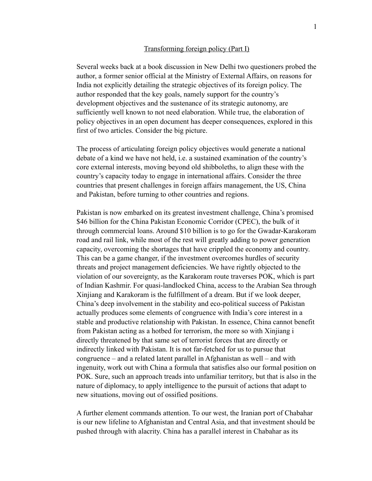## Transforming foreign policy (Part I)

Several weeks back at a book discussion in New Delhi two questioners probed the author, a former senior official at the Ministry of External Affairs, on reasons for India not explicitly detailing the strategic objectives of its foreign policy. The author responded that the key goals, namely support for the country's development objectives and the sustenance of its strategic autonomy, are sufficiently well known to not need elaboration. While true, the elaboration of policy objectives in an open document has deeper consequences, explored in this first of two articles. Consider the big picture.

The process of articulating foreign policy objectives would generate a national debate of a kind we have not held, i.e. a sustained examination of the country's core external interests, moving beyond old shibboleths, to align these with the country's capacity today to engage in international affairs. Consider the three countries that present challenges in foreign affairs management, the US, China and Pakistan, before turning to other countries and regions.

Pakistan is now embarked on its greatest investment challenge, China's promised \$46 billion for the China Pakistan Economic Corridor (CPEC), the bulk of it through commercial loans. Around \$10 billion is to go for the Gwadar-Karakoram road and rail link, while most of the rest will greatly adding to power generation capacity, overcoming the shortages that have crippled the economy and country. This can be a game changer, if the investment overcomes hurdles of security threats and project management deficiencies. We have rightly objected to the violation of our sovereignty, as the Karakoram route traverses POK, which is part of Indian Kashmir. For quasi-landlocked China, access to the Arabian Sea through Xinjiang and Karakoram is the fulfillment of a dream. But if we look deeper, China's deep involvement in the stability and eco-political success of Pakistan actually produces some elements of congruence with India's core interest in a stable and productive relationship with Pakistan. In essence, China cannot benefit from Pakistan acting as a hotbed for terrorism, the more so with Xinjiang i directly threatened by that same set of terrorist forces that are directly or indirectly linked with Pakistan. It is not far-fetched for us to pursue that congruence – and a related latent parallel in Afghanistan as well – and with ingenuity, work out with China a formula that satisfies also our formal position on POK. Sure, such an approach treads into unfamiliar territory, but that is also in the nature of diplomacy, to apply intelligence to the pursuit of actions that adapt to new situations, moving out of ossified positions.

A further element commands attention. To our west, the Iranian port of Chabahar is our new lifeline to Afghanistan and Central Asia, and that investment should be pushed through with alacrity. China has a parallel interest in Chabahar as its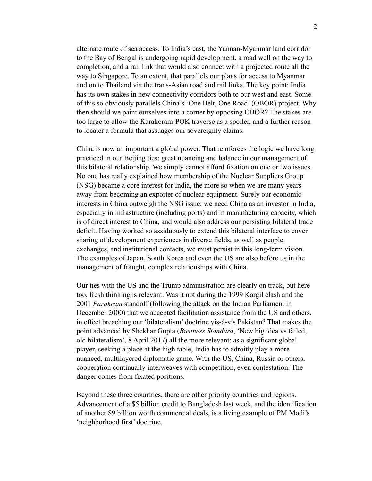alternate route of sea access. To India's east, the Yunnan-Myanmar land corridor to the Bay of Bengal is undergoing rapid development, a road well on the way to completion, and a rail link that would also connect with a projected route all the way to Singapore. To an extent, that parallels our plans for access to Myanmar and on to Thailand via the trans-Asian road and rail links. The key point: India has its own stakes in new connectivity corridors both to our west and east. Some of this so obviously parallels China's 'One Belt, One Road' (OBOR) project. Why then should we paint ourselves into a corner by opposing OBOR? The stakes are too large to allow the Karakoram-POK traverse as a spoiler, and a further reason to locater a formula that assuages our sovereignty claims.

China is now an important a global power. That reinforces the logic we have long practiced in our Beijing ties: great nuancing and balance in our management of this bilateral relationship. We simply cannot afford fixation on one or two issues. No one has really explained how membership of the Nuclear Suppliers Group (NSG) became a core interest for India, the more so when we are many years away from becoming an exporter of nuclear equipment. Surely our economic interests in China outweigh the NSG issue; we need China as an investor in India, especially in infrastructure (including ports) and in manufacturing capacity, which is of direct interest to China, and would also address our persisting bilateral trade deficit. Having worked so assiduously to extend this bilateral interface to cover sharing of development experiences in diverse fields, as well as people exchanges, and institutional contacts, we must persist in this long-term vision. The examples of Japan, South Korea and even the US are also before us in the management of fraught, complex relationships with China.

Our ties with the US and the Trump administration are clearly on track, but here too, fresh thinking is relevant. Was it not during the 1999 Kargil clash and the 2001 *Parakram* standoff (following the attack on the Indian Parliament in December 2000) that we accepted facilitation assistance from the US and others, in effect breaching our 'bilateralism' doctrine vis-à-vis Pakistan? That makes the point advanced by Shekhar Gupta (*Business Standard*, 'New big idea vs failed, old bilateralism', 8 April 2017) all the more relevant; as a significant global player, seeking a place at the high table, India has to adroitly play a more nuanced, multilayered diplomatic game. With the US, China, Russia or others, cooperation continually interweaves with competition, even contestation. The danger comes from fixated positions.

Beyond these three countries, there are other priority countries and regions. Advancement of a \$5 billion credit to Bangladesh last week, and the identification of another \$9 billion worth commercial deals, is a living example of PM Modi's 'neighborhood first' doctrine.